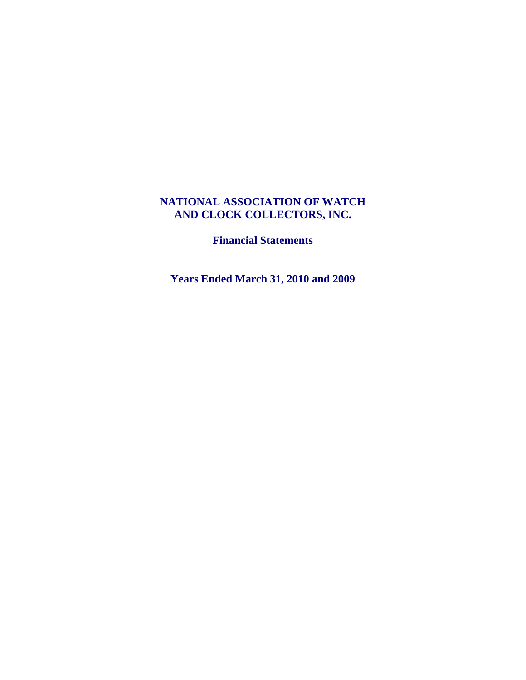# **NATIONAL ASSOCIATION OF WATCH AND CLOCK COLLECTORS, INC.**

**Financial Statements** 

**Years Ended March 31, 2010 and 2009**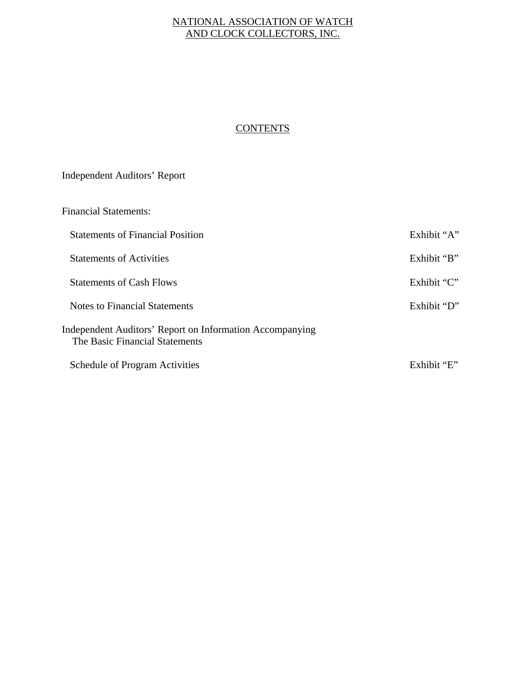# NATIONAL ASSOCIATION OF WATCH AND CLOCK COLLECTORS, INC.

# **CONTENTS**

# Independent Auditors' Report

| <b>Financial Statements:</b>                                                               |             |
|--------------------------------------------------------------------------------------------|-------------|
| <b>Statements of Financial Position</b>                                                    | Exhibit "A" |
| <b>Statements of Activities</b>                                                            | Exhibit "B" |
| <b>Statements of Cash Flows</b>                                                            | Exhibit "C" |
| Notes to Financial Statements                                                              | Exhibit "D" |
| Independent Auditors' Report on Information Accompanying<br>The Basic Financial Statements |             |
| <b>Schedule of Program Activities</b>                                                      | Exhibit "E" |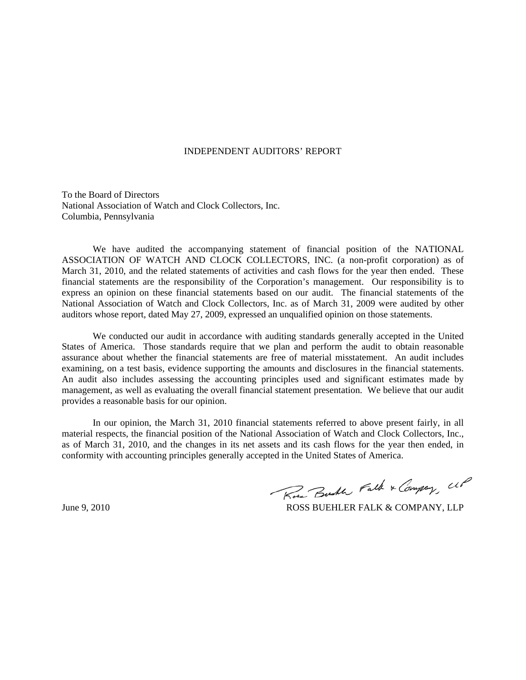# INDEPENDENT AUDITORS' REPORT

To the Board of Directors National Association of Watch and Clock Collectors, Inc. Columbia, Pennsylvania

 We have audited the accompanying statement of financial position of the NATIONAL ASSOCIATION OF WATCH AND CLOCK COLLECTORS, INC. (a non-profit corporation) as of March 31, 2010, and the related statements of activities and cash flows for the year then ended. These financial statements are the responsibility of the Corporation's management. Our responsibility is to express an opinion on these financial statements based on our audit. The financial statements of the National Association of Watch and Clock Collectors, Inc. as of March 31, 2009 were audited by other auditors whose report, dated May 27, 2009, expressed an unqualified opinion on those statements.

 We conducted our audit in accordance with auditing standards generally accepted in the United States of America. Those standards require that we plan and perform the audit to obtain reasonable assurance about whether the financial statements are free of material misstatement. An audit includes examining, on a test basis, evidence supporting the amounts and disclosures in the financial statements. An audit also includes assessing the accounting principles used and significant estimates made by management, as well as evaluating the overall financial statement presentation. We believe that our audit provides a reasonable basis for our opinion.

 In our opinion, the March 31, 2010 financial statements referred to above present fairly, in all material respects, the financial position of the National Association of Watch and Clock Collectors, Inc., as of March 31, 2010, and the changes in its net assets and its cash flows for the year then ended, in conformity with accounting principles generally accepted in the United States of America.

Rose Busher Falk & Company, UP

June 9, 2010 **ROSS BUEHLER FALK & COMPANY, LLP**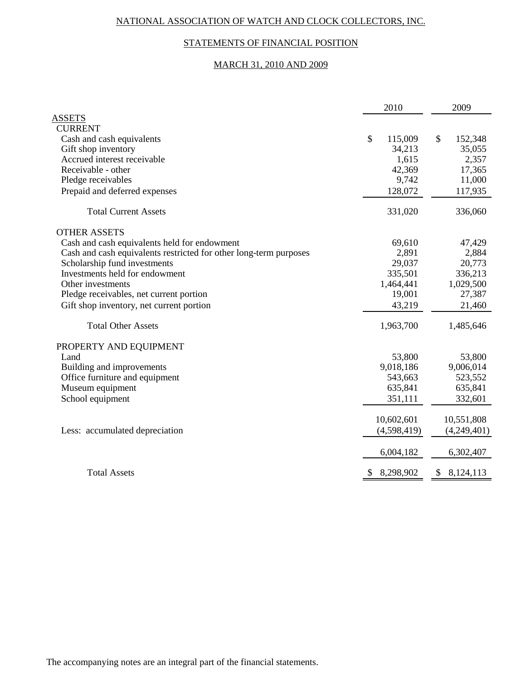# NATIONAL ASSOCIATION OF WATCH AND CLOCK COLLECTORS, INC.

# STATEMENTS OF FINANCIAL POSITION

# MARCH 31, 2010 AND 2009

|                                                                   | 2010 |              | 2009 |             |
|-------------------------------------------------------------------|------|--------------|------|-------------|
| <b>ASSETS</b>                                                     |      |              |      |             |
| <b>CURRENT</b>                                                    |      |              |      |             |
| Cash and cash equivalents                                         | \$   | 115,009      | \$   | 152,348     |
| Gift shop inventory                                               |      | 34,213       |      | 35,055      |
| Accrued interest receivable                                       |      | 1,615        |      | 2,357       |
| Receivable - other                                                |      | 42,369       |      | 17,365      |
| Pledge receivables                                                |      | 9,742        |      | 11,000      |
| Prepaid and deferred expenses                                     |      | 128,072      |      | 117,935     |
| <b>Total Current Assets</b>                                       |      | 331,020      |      | 336,060     |
| <b>OTHER ASSETS</b>                                               |      |              |      |             |
| Cash and cash equivalents held for endowment                      |      | 69,610       |      | 47,429      |
| Cash and cash equivalents restricted for other long-term purposes |      | 2,891        |      | 2,884       |
| Scholarship fund investments                                      |      | 29,037       |      | 20,773      |
| Investments held for endowment                                    |      | 335,501      |      | 336,213     |
| Other investments                                                 |      | 1,464,441    |      | 1,029,500   |
| Pledge receivables, net current portion                           |      | 19,001       |      | 27,387      |
| Gift shop inventory, net current portion                          |      | 43,219       |      | 21,460      |
| <b>Total Other Assets</b>                                         |      | 1,963,700    |      | 1,485,646   |
| PROPERTY AND EQUIPMENT                                            |      |              |      |             |
| Land                                                              |      | 53,800       |      | 53,800      |
| Building and improvements                                         |      | 9,018,186    |      | 9,006,014   |
| Office furniture and equipment                                    |      | 543,663      |      | 523,552     |
| Museum equipment                                                  |      | 635,841      |      | 635,841     |
| School equipment                                                  |      | 351,111      |      | 332,601     |
|                                                                   |      | 10,602,601   |      | 10,551,808  |
| Less: accumulated depreciation                                    |      | (4,598,419)  |      | (4,249,401) |
|                                                                   |      |              |      |             |
|                                                                   |      | 6,004,182    |      | 6,302,407   |
| <b>Total Assets</b>                                               |      | \$ 8,298,902 |      | \$8,124,113 |

The accompanying notes are an integral part of the financial statements.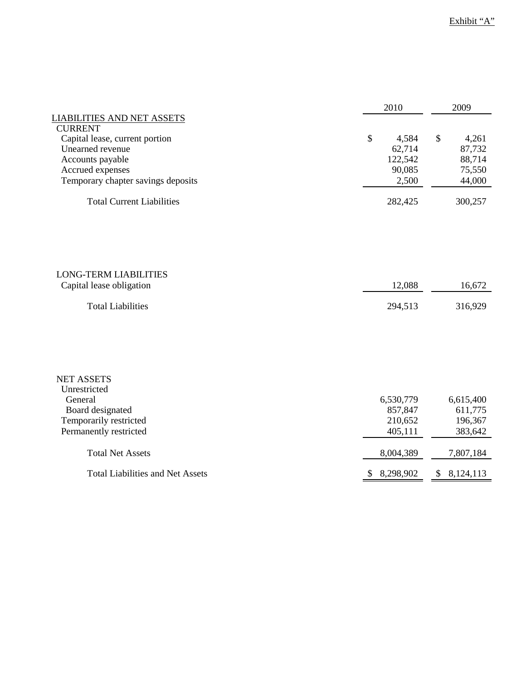|                                                                                                                                  | 2010                                                                       | 2009                                                           |
|----------------------------------------------------------------------------------------------------------------------------------|----------------------------------------------------------------------------|----------------------------------------------------------------|
| <b>LIABILITIES AND NET ASSETS</b><br><b>CURRENT</b>                                                                              |                                                                            |                                                                |
| Capital lease, current portion<br>Unearned revenue<br>Accounts payable<br>Accrued expenses<br>Temporary chapter savings deposits | $\boldsymbol{\mathsf{S}}$<br>4,584<br>62,714<br>122,542<br>90,085<br>2,500 | $\mathcal{S}$<br>4,261<br>87,732<br>88,714<br>75,550<br>44,000 |
| <b>Total Current Liabilities</b>                                                                                                 | 282,425                                                                    | 300,257                                                        |
|                                                                                                                                  |                                                                            |                                                                |
| <b>LONG-TERM LIABILITIES</b>                                                                                                     |                                                                            |                                                                |
| Capital lease obligation                                                                                                         | 12,088                                                                     | 16,672                                                         |
| <b>Total Liabilities</b>                                                                                                         | 294,513                                                                    | 316,929                                                        |
| <b>NET ASSETS</b><br>Unrestricted                                                                                                |                                                                            |                                                                |
| General                                                                                                                          | 6,530,779                                                                  | 6,615,400                                                      |
| Board designated                                                                                                                 | 857,847                                                                    | 611,775                                                        |
| Temporarily restricted                                                                                                           | 210,652                                                                    | 196,367                                                        |
| Permanently restricted                                                                                                           | 405,111                                                                    | 383,642                                                        |
| <b>Total Net Assets</b>                                                                                                          | 8,004,389                                                                  | 7,807,184                                                      |
| <b>Total Liabilities and Net Assets</b>                                                                                          | \$<br>8,298,902                                                            | \$<br>8,124,113                                                |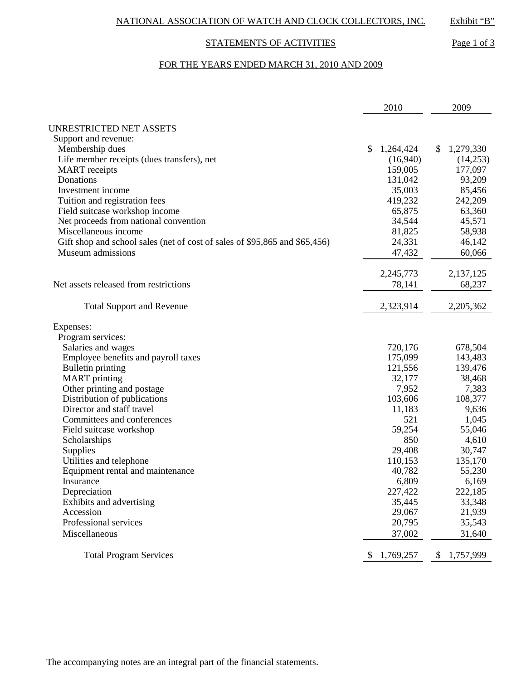# STATEMENTS OF ACTIVITIES Page 1 of 3

# FOR THE YEARS ENDED MARCH 31, 2010 AND 2009

|                                                                            | 2010                      | 2009               |
|----------------------------------------------------------------------------|---------------------------|--------------------|
| <b>UNRESTRICTED NET ASSETS</b>                                             |                           |                    |
| Support and revenue:                                                       |                           |                    |
| Membership dues                                                            | $\mathbb{S}$<br>1,264,424 | 1,279,330<br>$\$\$ |
| Life member receipts (dues transfers), net                                 | (16,940)                  | (14,253)           |
| <b>MART</b> receipts                                                       | 159,005                   | 177,097            |
| Donations                                                                  | 131,042                   | 93,209             |
| Investment income                                                          | 35,003                    | 85,456             |
| Tuition and registration fees                                              | 419,232                   | 242,209            |
| Field suitcase workshop income                                             | 65,875                    | 63,360             |
| Net proceeds from national convention                                      | 34,544                    | 45,571             |
| Miscellaneous income                                                       | 81,825                    | 58,938             |
|                                                                            | 24,331                    | 46,142             |
| Gift shop and school sales (net of cost of sales of \$95,865 and \$65,456) |                           |                    |
| Museum admissions                                                          | 47,432                    | 60,066             |
|                                                                            | 2,245,773                 | 2,137,125          |
| Net assets released from restrictions                                      | 78,141                    | 68,237             |
|                                                                            |                           |                    |
| <b>Total Support and Revenue</b>                                           | 2,323,914                 | 2,205,362          |
| Expenses:                                                                  |                           |                    |
| Program services:                                                          |                           |                    |
| Salaries and wages                                                         | 720,176                   | 678,504            |
| Employee benefits and payroll taxes                                        | 175,099                   | 143,483            |
| <b>Bulletin printing</b>                                                   | 121,556                   | 139,476            |
| <b>MART</b> printing                                                       | 32,177                    | 38,468             |
| Other printing and postage                                                 | 7,952                     | 7,383              |
| Distribution of publications                                               | 103,606                   | 108,377            |
| Director and staff travel                                                  | 11,183                    | 9,636              |
| Committees and conferences                                                 | 521                       | 1,045              |
| Field suitcase workshop                                                    | 59,254                    | 55,046             |
| Scholarships                                                               | 850                       | 4,610              |
| Supplies                                                                   | 29,408                    | 30,747             |
| Utilities and telephone                                                    | 110,153                   | 135,170            |
| Equipment rental and maintenance                                           | 40,782                    | 55,230             |
| Insurance                                                                  | 6,809                     | 6,169              |
| Depreciation                                                               | 227,422                   | 222,185            |
| Exhibits and advertising                                                   | 35,445                    | 33,348             |
| Accession                                                                  |                           |                    |
| Professional services                                                      | 29,067                    | 21,939             |
|                                                                            | 20,795                    | 35,543             |
| Miscellaneous                                                              | 37,002                    | 31,640             |
| <b>Total Program Services</b>                                              | \$1,769,257               | 1,757,999<br>\$    |

The accompanying notes are an integral part of the financial statements.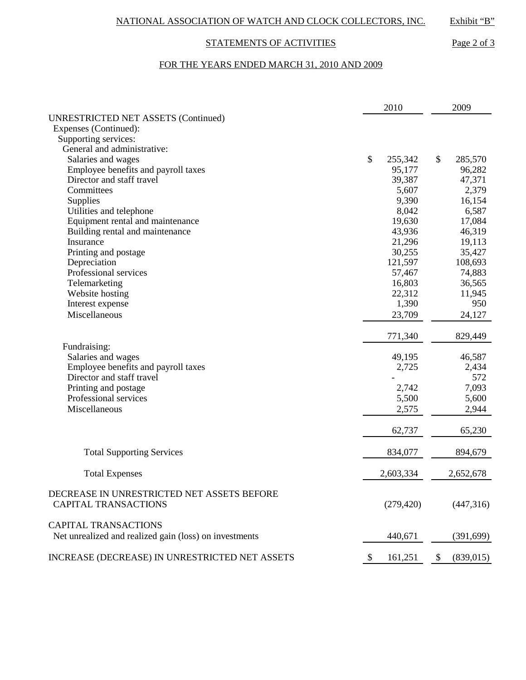# STATEMENTS OF ACTIVITIES Page 2 of 3

# FOR THE YEARS ENDED MARCH 31, 2010 AND 2009

|                                                                           |    | 2010<br>2009 |               |            |
|---------------------------------------------------------------------------|----|--------------|---------------|------------|
| <b>UNRESTRICTED NET ASSETS (Continued)</b>                                |    |              |               |            |
| Expenses (Continued):                                                     |    |              |               |            |
| Supporting services:                                                      |    |              |               |            |
| General and administrative:                                               |    |              |               |            |
| Salaries and wages                                                        | \$ | 255,342      | \$            | 285,570    |
| Employee benefits and payroll taxes                                       |    | 95,177       |               | 96,282     |
| Director and staff travel                                                 |    | 39,387       |               | 47,371     |
| Committees                                                                |    | 5,607        |               | 2,379      |
| Supplies                                                                  |    | 9,390        |               | 16,154     |
| Utilities and telephone                                                   |    | 8,042        |               | 6,587      |
| Equipment rental and maintenance                                          |    | 19,630       |               | 17,084     |
| Building rental and maintenance                                           |    | 43,936       |               | 46,319     |
| Insurance                                                                 |    | 21,296       |               | 19,113     |
| Printing and postage                                                      |    | 30,255       |               | 35,427     |
| Depreciation                                                              |    | 121,597      |               | 108,693    |
| Professional services                                                     |    | 57,467       |               | 74,883     |
| Telemarketing                                                             |    | 16,803       |               | 36,565     |
| Website hosting                                                           |    | 22,312       |               | 11,945     |
| Interest expense                                                          |    | 1,390        |               | 950        |
| Miscellaneous                                                             |    | 23,709       |               | 24,127     |
|                                                                           |    | 771,340      |               | 829,449    |
| Fundraising:                                                              |    |              |               |            |
| Salaries and wages                                                        |    | 49,195       |               | 46,587     |
| Employee benefits and payroll taxes                                       |    | 2,725        |               | 2,434      |
| Director and staff travel                                                 |    |              |               | 572        |
| Printing and postage                                                      |    | 2,742        |               | 7,093      |
| Professional services                                                     |    | 5,500        |               | 5,600      |
| Miscellaneous                                                             |    | 2,575        |               | 2,944      |
|                                                                           |    | 62,737       |               | 65,230     |
| <b>Total Supporting Services</b>                                          |    | 834,077      |               | 894,679    |
| <b>Total Expenses</b>                                                     |    | 2,603,334    |               | 2,652,678  |
| DECREASE IN UNRESTRICTED NET ASSETS BEFORE<br><b>CAPITAL TRANSACTIONS</b> |    | (279, 420)   |               | (447,316)  |
|                                                                           |    |              |               |            |
| <b>CAPITAL TRANSACTIONS</b>                                               |    |              |               |            |
| Net unrealized and realized gain (loss) on investments                    |    | 440,671      |               | (391,699)  |
| INCREASE (DECREASE) IN UNRESTRICTED NET ASSETS                            | \$ | 161,251      | $\mathcal{S}$ | (839, 015) |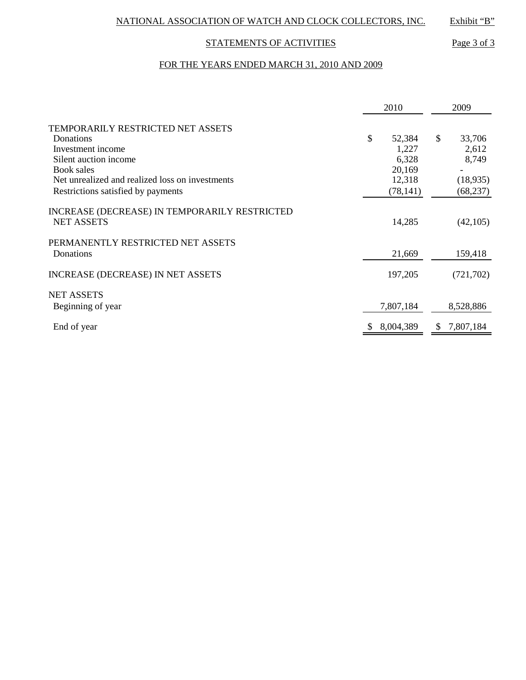# STATEMENTS OF ACTIVITIES Page 3 of 3

# FOR THE YEARS ENDED MARCH 31, 2010 AND 2009

|                                                 | 2010         |    | 2009       |  |
|-------------------------------------------------|--------------|----|------------|--|
| TEMPORARILY RESTRICTED NET ASSETS               |              |    |            |  |
| Donations                                       | \$<br>52,384 | \$ | 33,706     |  |
| Investment income                               | 1,227        |    | 2,612      |  |
| Silent auction income                           | 6,328        |    | 8,749      |  |
| Book sales                                      | 20,169       |    |            |  |
| Net unrealized and realized loss on investments | 12,318       |    | (18,935)   |  |
| Restrictions satisfied by payments              | (78, 141)    |    | (68, 237)  |  |
| INCREASE (DECREASE) IN TEMPORARILY RESTRICTED   |              |    |            |  |
| <b>NET ASSETS</b>                               | 14,285       |    | (42, 105)  |  |
| PERMANENTLY RESTRICTED NET ASSETS               |              |    |            |  |
| Donations                                       | 21,669       |    | 159,418    |  |
| <b>INCREASE (DECREASE) IN NET ASSETS</b>        | 197,205      |    | (721, 702) |  |
| <b>NET ASSETS</b>                               |              |    |            |  |
| Beginning of year                               | 7,807,184    |    | 8,528,886  |  |
| End of year                                     | 8,004,389    | S  | 7,807,184  |  |
|                                                 |              |    |            |  |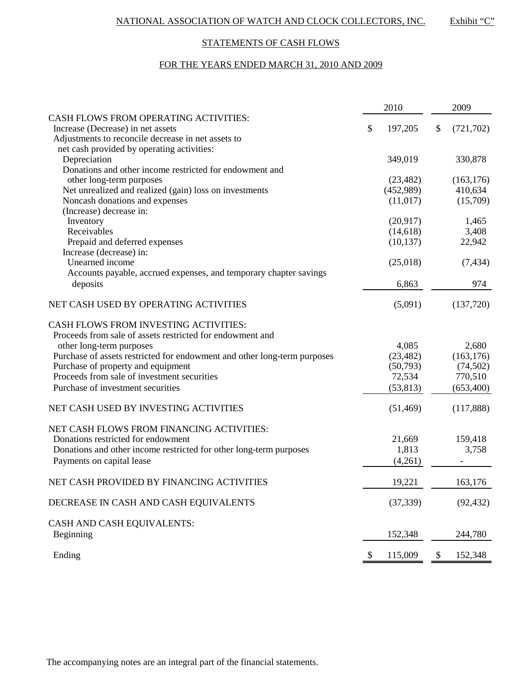# STATEMENTS OF CASH FLOWS

# FOR THE YEARS ENDED MARCH 31, 2010 AND 2009

|                                                                          | 2010          |    | 2009       |
|--------------------------------------------------------------------------|---------------|----|------------|
| CASH FLOWS FROM OPERATING ACTIVITIES:                                    |               |    |            |
| Increase (Decrease) in net assets                                        | \$<br>197,205 | \$ | (721, 702) |
| Adjustments to reconcile decrease in net assets to                       |               |    |            |
| net cash provided by operating activities:                               |               |    |            |
| Depreciation                                                             | 349,019       |    | 330,878    |
| Donations and other income restricted for endowment and                  |               |    |            |
| other long-term purposes                                                 | (23, 482)     |    | (163, 176) |
| Net unrealized and realized (gain) loss on investments                   | (452,989)     |    | 410,634    |
| Noncash donations and expenses<br>(Increase) decrease in:                | (11,017)      |    | (15,709)   |
| Inventory                                                                | (20,917)      |    | 1,465      |
| Receivables                                                              | (14,618)      |    | 3,408      |
| Prepaid and deferred expenses                                            | (10, 137)     |    | 22,942     |
| Increase (decrease) in:                                                  |               |    |            |
| Unearned income                                                          | (25,018)      |    | (7, 434)   |
| Accounts payable, accrued expenses, and temporary chapter savings        |               |    |            |
| deposits                                                                 | 6,863         |    | 974        |
|                                                                          |               |    |            |
| NET CASH USED BY OPERATING ACTIVITIES                                    | (5,091)       |    | (137,720)  |
| <b>CASH FLOWS FROM INVESTING ACTIVITIES:</b>                             |               |    |            |
| Proceeds from sale of assets restricted for endowment and                |               |    |            |
| other long-term purposes                                                 | 4,085         |    | 2,680      |
| Purchase of assets restricted for endowment and other long-term purposes | (23, 482)     |    | (163, 176) |
| Purchase of property and equipment                                       | (50, 793)     |    | (74, 502)  |
| Proceeds from sale of investment securities                              | 72,534        |    | 770,510    |
| Purchase of investment securities                                        | (53, 813)     |    | (653, 400) |
| NET CASH USED BY INVESTING ACTIVITIES                                    | (51, 469)     |    | (117,888)  |
| NET CASH FLOWS FROM FINANCING ACTIVITIES:                                |               |    |            |
| Donations restricted for endowment                                       | 21,669        |    | 159,418    |
| Donations and other income restricted for other long-term purposes       | 1,813         |    | 3,758      |
| Payments on capital lease                                                | (4,261)       |    |            |
| NET CASH PROVIDED BY FINANCING ACTIVITIES                                | 19,221        |    | 163,176    |
| DECREASE IN CASH AND CASH EQUIVALENTS                                    | (37, 339)     |    | (92, 432)  |
| CASH AND CASH EQUIVALENTS:                                               |               |    |            |
| Beginning                                                                | 152,348       |    | 244,780    |
| Ending                                                                   | 115,009       | P  | 152,348    |
|                                                                          |               |    |            |

The accompanying notes are an integral part of the financial statements.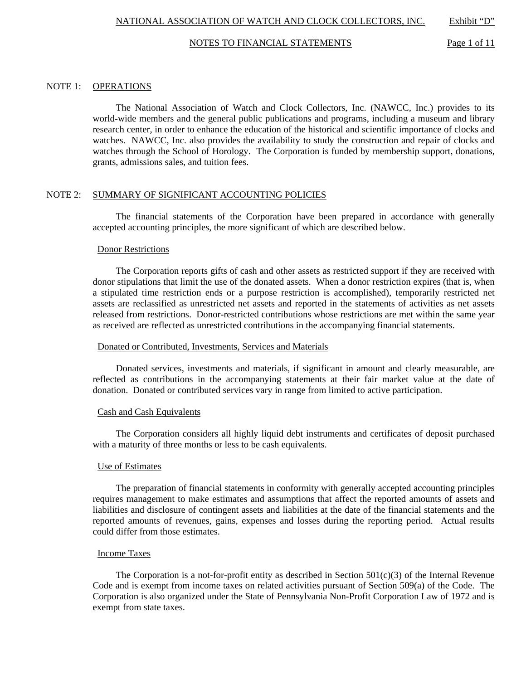NATIONAL ASSOCIATION OF WATCH AND CLOCK COLLECTORS, INC. Exhibit "D"

#### NOTES TO FINANCIAL STATEMENTS Page 1 of 11

### NOTE 1: OPERATIONS

 The National Association of Watch and Clock Collectors, Inc. (NAWCC, Inc.) provides to its world-wide members and the general public publications and programs, including a museum and library research center, in order to enhance the education of the historical and scientific importance of clocks and watches. NAWCC, Inc. also provides the availability to study the construction and repair of clocks and watches through the School of Horology. The Corporation is funded by membership support, donations, grants, admissions sales, and tuition fees.

## NOTE 2: SUMMARY OF SIGNIFICANT ACCOUNTING POLICIES

 The financial statements of the Corporation have been prepared in accordance with generally accepted accounting principles, the more significant of which are described below.

#### Donor Restrictions

 The Corporation reports gifts of cash and other assets as restricted support if they are received with donor stipulations that limit the use of the donated assets. When a donor restriction expires (that is, when a stipulated time restriction ends or a purpose restriction is accomplished), temporarily restricted net assets are reclassified as unrestricted net assets and reported in the statements of activities as net assets released from restrictions. Donor-restricted contributions whose restrictions are met within the same year as received are reflected as unrestricted contributions in the accompanying financial statements.

#### Donated or Contributed, Investments, Services and Materials

 Donated services, investments and materials, if significant in amount and clearly measurable, are reflected as contributions in the accompanying statements at their fair market value at the date of donation. Donated or contributed services vary in range from limited to active participation.

#### Cash and Cash Equivalents

 The Corporation considers all highly liquid debt instruments and certificates of deposit purchased with a maturity of three months or less to be cash equivalents.

#### Use of Estimates

 The preparation of financial statements in conformity with generally accepted accounting principles requires management to make estimates and assumptions that affect the reported amounts of assets and liabilities and disclosure of contingent assets and liabilities at the date of the financial statements and the reported amounts of revenues, gains, expenses and losses during the reporting period. Actual results could differ from those estimates.

#### Income Taxes

The Corporation is a not-for-profit entity as described in Section  $501(c)(3)$  of the Internal Revenue Code and is exempt from income taxes on related activities pursuant of Section 509(a) of the Code. The Corporation is also organized under the State of Pennsylvania Non-Profit Corporation Law of 1972 and is exempt from state taxes.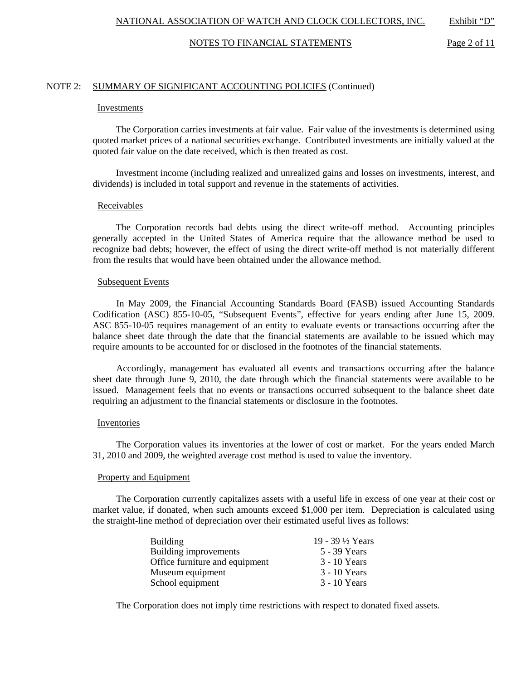#### NOTES TO FINANCIAL STATEMENTS Page 2 of 11

### NOTE 2: SUMMARY OF SIGNIFICANT ACCOUNTING POLICIES (Continued)

#### Investments

 The Corporation carries investments at fair value. Fair value of the investments is determined using quoted market prices of a national securities exchange. Contributed investments are initially valued at the quoted fair value on the date received, which is then treated as cost.

 Investment income (including realized and unrealized gains and losses on investments, interest, and dividends) is included in total support and revenue in the statements of activities.

#### **Receivables**

 The Corporation records bad debts using the direct write-off method. Accounting principles generally accepted in the United States of America require that the allowance method be used to recognize bad debts; however, the effect of using the direct write-off method is not materially different from the results that would have been obtained under the allowance method.

#### Subsequent Events

 In May 2009, the Financial Accounting Standards Board (FASB) issued Accounting Standards Codification (ASC) 855-10-05, "Subsequent Events", effective for years ending after June 15, 2009. ASC 855-10-05 requires management of an entity to evaluate events or transactions occurring after the balance sheet date through the date that the financial statements are available to be issued which may require amounts to be accounted for or disclosed in the footnotes of the financial statements.

 Accordingly, management has evaluated all events and transactions occurring after the balance sheet date through June 9, 2010, the date through which the financial statements were available to be issued. Management feels that no events or transactions occurred subsequent to the balance sheet date requiring an adjustment to the financial statements or disclosure in the footnotes.

#### Inventories

 The Corporation values its inventories at the lower of cost or market. For the years ended March 31, 2010 and 2009, the weighted average cost method is used to value the inventory.

#### Property and Equipment

 The Corporation currently capitalizes assets with a useful life in excess of one year at their cost or market value, if donated, when such amounts exceed \$1,000 per item. Depreciation is calculated using the straight-line method of depreciation over their estimated useful lives as follows:

| <b>Building</b>                | 19 - 39 ½ Years |
|--------------------------------|-----------------|
| Building improvements          | 5 - 39 Years    |
| Office furniture and equipment | 3 - 10 Years    |
| Museum equipment               | 3 - 10 Years    |
| School equipment               | $3 - 10$ Years  |

The Corporation does not imply time restrictions with respect to donated fixed assets.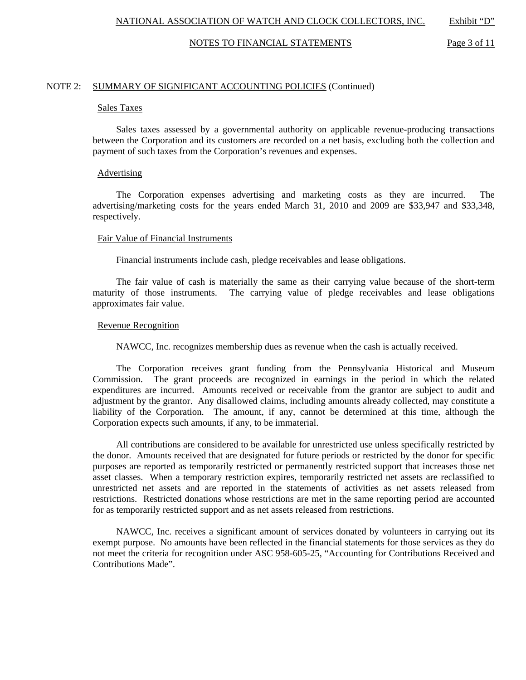#### NOTES TO FINANCIAL STATEMENTS Page 3 of 11

### NOTE 2: SUMMARY OF SIGNIFICANT ACCOUNTING POLICIES (Continued)

#### Sales Taxes

 Sales taxes assessed by a governmental authority on applicable revenue-producing transactions between the Corporation and its customers are recorded on a net basis, excluding both the collection and payment of such taxes from the Corporation's revenues and expenses.

#### Advertising

 The Corporation expenses advertising and marketing costs as they are incurred. The advertising/marketing costs for the years ended March 31, 2010 and 2009 are \$33,947 and \$33,348, respectively.

#### Fair Value of Financial Instruments

Financial instruments include cash, pledge receivables and lease obligations.

 The fair value of cash is materially the same as their carrying value because of the short-term maturity of those instruments. The carrying value of pledge receivables and lease obligations approximates fair value.

## Revenue Recognition

NAWCC, Inc. recognizes membership dues as revenue when the cash is actually received.

 The Corporation receives grant funding from the Pennsylvania Historical and Museum Commission. The grant proceeds are recognized in earnings in the period in which the related expenditures are incurred. Amounts received or receivable from the grantor are subject to audit and adjustment by the grantor. Any disallowed claims, including amounts already collected, may constitute a liability of the Corporation. The amount, if any, cannot be determined at this time, although the Corporation expects such amounts, if any, to be immaterial.

 All contributions are considered to be available for unrestricted use unless specifically restricted by the donor. Amounts received that are designated for future periods or restricted by the donor for specific purposes are reported as temporarily restricted or permanently restricted support that increases those net asset classes. When a temporary restriction expires, temporarily restricted net assets are reclassified to unrestricted net assets and are reported in the statements of activities as net assets released from restrictions. Restricted donations whose restrictions are met in the same reporting period are accounted for as temporarily restricted support and as net assets released from restrictions.

 NAWCC, Inc. receives a significant amount of services donated by volunteers in carrying out its exempt purpose. No amounts have been reflected in the financial statements for those services as they do not meet the criteria for recognition under ASC 958-605-25, "Accounting for Contributions Received and Contributions Made".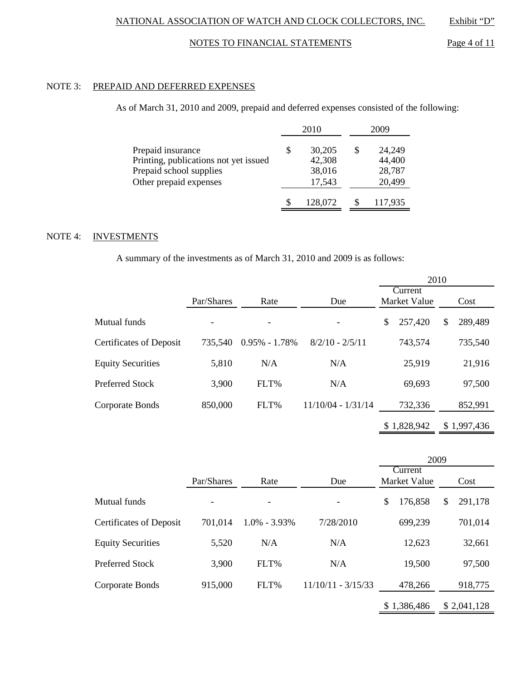# NOTES TO FINANCIAL STATEMENTS Page 4 of 11

# NOTE 3: PREPAID AND DEFERRED EXPENSES

## As of March 31, 2010 and 2009, prepaid and deferred expenses consisted of the following:

|                                                                                                                 |   | 2010                                 |   | 2009                                 |
|-----------------------------------------------------------------------------------------------------------------|---|--------------------------------------|---|--------------------------------------|
| Prepaid insurance<br>Printing, publications not yet issued<br>Prepaid school supplies<br>Other prepaid expenses | S | 30,205<br>42,308<br>38,016<br>17,543 | S | 24,249<br>44,400<br>28,787<br>20,499 |
|                                                                                                                 | S | 128,072                              |   | 117,935                              |

# NOTE 4: INVESTMENTS

A summary of the investments as of March 31, 2010 and 2009 is as follows:

|                                |            |                          |                      | 2010                    |               |
|--------------------------------|------------|--------------------------|----------------------|-------------------------|---------------|
|                                | Par/Shares | Rate                     | Due                  | Current<br>Market Value | Cost          |
| Mutual funds                   |            | $\overline{\phantom{a}}$ |                      | \$<br>257,420           | \$<br>289,489 |
| <b>Certificates of Deposit</b> | 735,540    | $0.95\% - 1.78\%$        | $8/2/10 - 2/5/11$    | 743,574                 | 735,540       |
| <b>Equity Securities</b>       | 5,810      | N/A                      | N/A                  | 25,919                  | 21,916        |
| <b>Preferred Stock</b>         | 3,900      | FLT%                     | N/A                  | 69,693                  | 97,500        |
| Corporate Bonds                | 850,000    | FLT%                     | $11/10/04 - 1/31/14$ | 732,336                 | 852,991       |
|                                |            |                          |                      | \$1,828,942             | \$1,997,436   |

|                                |            |                  |                      | 2009                           |               |
|--------------------------------|------------|------------------|----------------------|--------------------------------|---------------|
|                                | Par/Shares | Rate             | Due                  | Current<br><b>Market Value</b> | Cost          |
| Mutual funds                   |            |                  |                      | \$<br>176,858                  | \$<br>291,178 |
| <b>Certificates of Deposit</b> | 701,014    | $1.0\% - 3.93\%$ | 7/28/2010            | 699,239                        | 701,014       |
| <b>Equity Securities</b>       | 5,520      | N/A              | N/A                  | 12,623                         | 32,661        |
| Preferred Stock                | 3,900      | FLT%             | N/A                  | 19,500                         | 97,500        |
| Corporate Bonds                | 915,000    | FLT%             | $11/10/11 - 3/15/33$ | 478,266                        | 918,775       |
|                                |            |                  |                      | \$1,386,486                    | \$2,041,128   |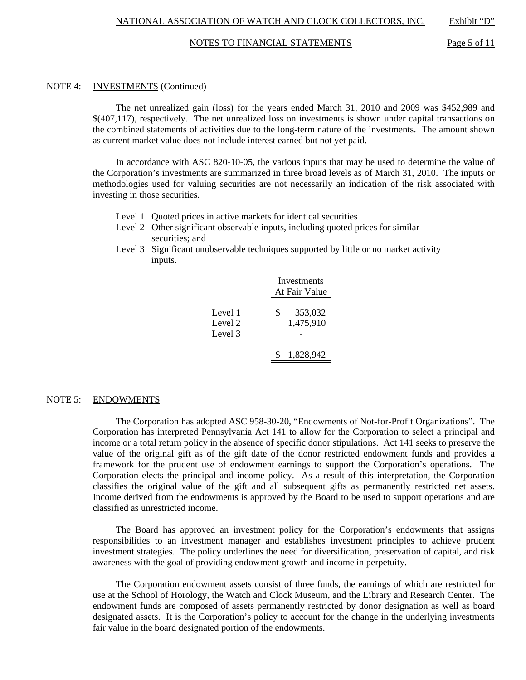#### NOTES TO FINANCIAL STATEMENTS Page 5 of 11

### NOTE 4: INVESTMENTS (Continued)

 The net unrealized gain (loss) for the years ended March 31, 2010 and 2009 was \$452,989 and \$(407,117), respectively. The net unrealized loss on investments is shown under capital transactions on the combined statements of activities due to the long-term nature of the investments. The amount shown as current market value does not include interest earned but not yet paid.

 In accordance with ASC 820-10-05, the various inputs that may be used to determine the value of the Corporation's investments are summarized in three broad levels as of March 31, 2010. The inputs or methodologies used for valuing securities are not necessarily an indication of the risk associated with investing in those securities.

- Level 1 Quoted prices in active markets for identical securities
- Level 2 Other significant observable inputs, including quoted prices for similar securities; and
- Level 3 Significant unobservable techniques supported by little or no market activity inputs.

|                               | Investments<br>At Fair Value |
|-------------------------------|------------------------------|
| Level 1<br>Level 2<br>Level 3 | \$<br>353,032<br>1,475,910   |
|                               | 1,828,942                    |

#### NOTE 5: ENDOWMENTS

 The Corporation has adopted ASC 958-30-20, "Endowments of Not-for-Profit Organizations". The Corporation has interpreted Pennsylvania Act 141 to allow for the Corporation to select a principal and income or a total return policy in the absence of specific donor stipulations. Act 141 seeks to preserve the value of the original gift as of the gift date of the donor restricted endowment funds and provides a framework for the prudent use of endowment earnings to support the Corporation's operations. The Corporation elects the principal and income policy. As a result of this interpretation, the Corporation classifies the original value of the gift and all subsequent gifts as permanently restricted net assets. Income derived from the endowments is approved by the Board to be used to support operations and are classified as unrestricted income.

 The Board has approved an investment policy for the Corporation's endowments that assigns responsibilities to an investment manager and establishes investment principles to achieve prudent investment strategies. The policy underlines the need for diversification, preservation of capital, and risk awareness with the goal of providing endowment growth and income in perpetuity.

 The Corporation endowment assets consist of three funds, the earnings of which are restricted for use at the School of Horology, the Watch and Clock Museum, and the Library and Research Center. The endowment funds are composed of assets permanently restricted by donor designation as well as board designated assets. It is the Corporation's policy to account for the change in the underlying investments fair value in the board designated portion of the endowments.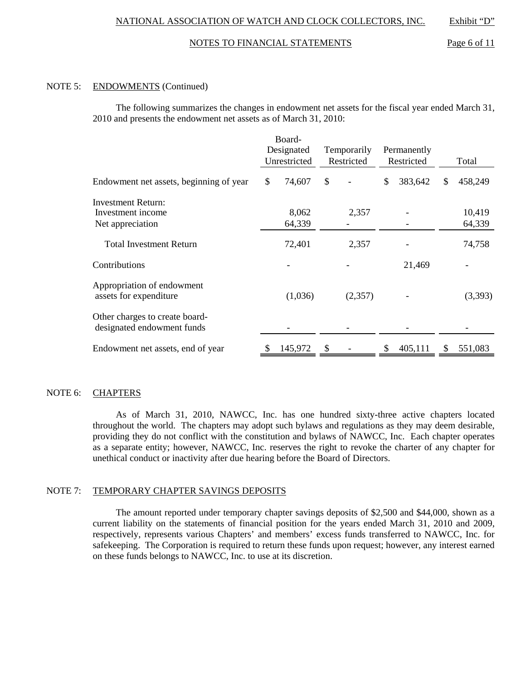#### NOTES TO FINANCIAL STATEMENTS Page 6 of 11

### NOTE 5: ENDOWMENTS (Continued)

 The following summarizes the changes in endowment net assets for the fiscal year ended March 31, 2010 and presents the endowment net assets as of March 31, 2010:

|                                                              |              | Board-<br>Designated<br>Temporarily<br>Unrestricted<br>Restricted |               |         | Permanently<br>Restricted |         | Total |                  |
|--------------------------------------------------------------|--------------|-------------------------------------------------------------------|---------------|---------|---------------------------|---------|-------|------------------|
| Endowment net assets, beginning of year                      | $\mathbb{S}$ | 74,607                                                            | \$            |         | \$                        | 383,642 | S     | 458,249          |
| Investment Return:<br>Investment income<br>Net appreciation  |              | 8,062<br>64,339                                                   |               | 2,357   |                           |         |       | 10,419<br>64,339 |
| <b>Total Investment Return</b>                               |              | 72,401                                                            |               | 2,357   |                           |         |       | 74,758           |
| Contributions                                                |              |                                                                   |               |         |                           | 21,469  |       |                  |
| Appropriation of endowment<br>assets for expenditure         |              | (1,036)                                                           |               | (2,357) |                           |         |       | (3,393)          |
| Other charges to create board-<br>designated endowment funds |              |                                                                   |               |         |                           |         |       |                  |
| Endowment net assets, end of year                            |              | 145,972                                                           | <sup>\$</sup> |         | \$.                       | 405,111 | -S    | 551,083          |

# NOTE 6: CHAPTERS

 As of March 31, 2010, NAWCC, Inc. has one hundred sixty-three active chapters located throughout the world. The chapters may adopt such bylaws and regulations as they may deem desirable, providing they do not conflict with the constitution and bylaws of NAWCC, Inc. Each chapter operates as a separate entity; however, NAWCC, Inc. reserves the right to revoke the charter of any chapter for unethical conduct or inactivity after due hearing before the Board of Directors.

## NOTE 7: TEMPORARY CHAPTER SAVINGS DEPOSITS

 The amount reported under temporary chapter savings deposits of \$2,500 and \$44,000, shown as a current liability on the statements of financial position for the years ended March 31, 2010 and 2009, respectively, represents various Chapters' and members' excess funds transferred to NAWCC, Inc. for safekeeping. The Corporation is required to return these funds upon request; however, any interest earned on these funds belongs to NAWCC, Inc. to use at its discretion.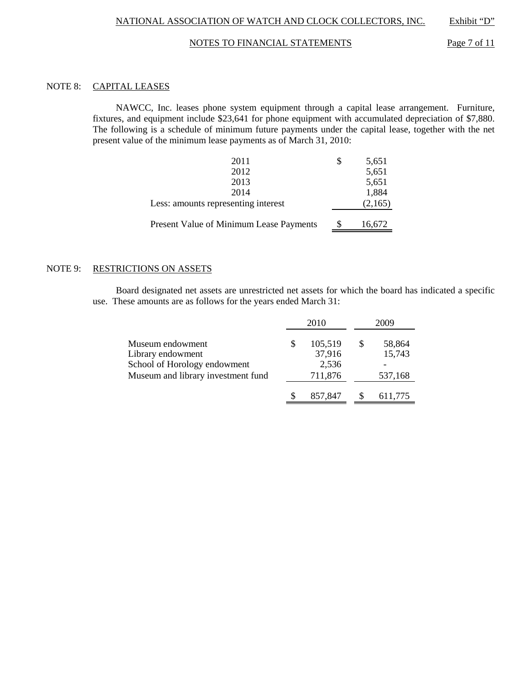## NOTES TO FINANCIAL STATEMENTS Page 7 of 11

# NOTE 8: CAPITAL LEASES

 NAWCC, Inc. leases phone system equipment through a capital lease arrangement. Furniture, fixtures, and equipment include \$23,641 for phone equipment with accumulated depreciation of \$7,880. The following is a schedule of minimum future payments under the capital lease, together with the net present value of the minimum lease payments as of March 31, 2010:

| Present Value of Minimum Lease Payments | S | 16,672  |
|-----------------------------------------|---|---------|
| Less: amounts representing interest     |   | (2,165) |
| 2014                                    |   | 1,884   |
| 2013                                    |   | 5,651   |
| 2012                                    |   | 5,651   |
| 2011                                    |   | 5,651   |

# NOTE 9: RESTRICTIONS ON ASSETS

 Board designated net assets are unrestricted net assets for which the board has indicated a specific use. These amounts are as follows for the years ended March 31:

|                                                                                                             |   | 2010                                  | 2009                        |  |  |  |
|-------------------------------------------------------------------------------------------------------------|---|---------------------------------------|-----------------------------|--|--|--|
| Museum endowment<br>Library endowment<br>School of Horology endowment<br>Museum and library investment fund | S | 105,519<br>37,916<br>2,536<br>711,876 | 58,864<br>15,743<br>537,168 |  |  |  |
|                                                                                                             |   | 857,847                               | 611,775                     |  |  |  |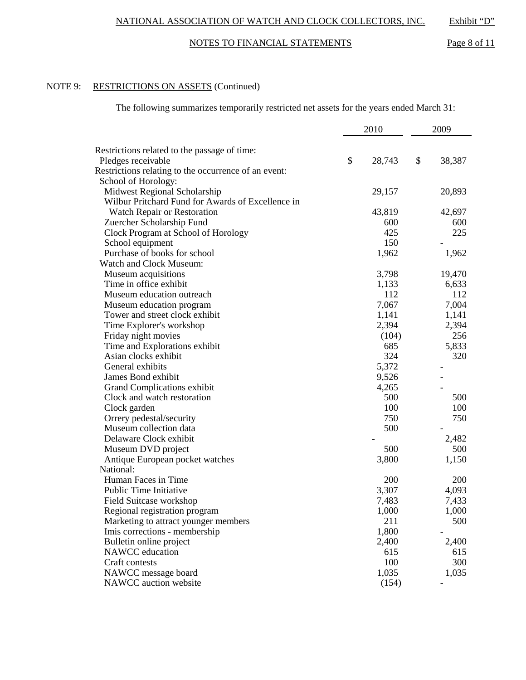# NOTES TO FINANCIAL STATEMENTS Page 8 of 11

# NOTE 9: RESTRICTIONS ON ASSETS (Continued)

The following summarizes temporarily restricted net assets for the years ended March 31:

|                                                                            | 2010         | 2009   |
|----------------------------------------------------------------------------|--------------|--------|
|                                                                            |              |        |
| Restrictions related to the passage of time:                               | \$<br>28,743 | \$     |
| Pledges receivable<br>Restrictions relating to the occurrence of an event: |              | 38,387 |
| School of Horology:                                                        |              |        |
| Midwest Regional Scholarship                                               | 29,157       | 20,893 |
| Wilbur Pritchard Fund for Awards of Excellence in                          |              |        |
| Watch Repair or Restoration                                                | 43,819       | 42,697 |
| Zuercher Scholarship Fund                                                  | 600          | 600    |
| Clock Program at School of Horology                                        | 425          | 225    |
| School equipment                                                           | 150          |        |
| Purchase of books for school                                               | 1,962        | 1,962  |
| Watch and Clock Museum:                                                    |              |        |
| Museum acquisitions                                                        | 3,798        | 19,470 |
| Time in office exhibit                                                     | 1,133        | 6,633  |
| Museum education outreach                                                  | 112          | 112    |
| Museum education program                                                   | 7,067        | 7,004  |
| Tower and street clock exhibit                                             | 1,141        | 1,141  |
| Time Explorer's workshop                                                   | 2,394        | 2,394  |
| Friday night movies                                                        | (104)        | 256    |
| Time and Explorations exhibit                                              | 685          | 5,833  |
| Asian clocks exhibit                                                       | 324          | 320    |
| General exhibits                                                           | 5,372        |        |
| James Bond exhibit                                                         | 9,526        |        |
| Grand Complications exhibit                                                | 4,265        |        |
| Clock and watch restoration                                                | 500          | 500    |
| Clock garden                                                               | 100          | 100    |
| Orrery pedestal/security                                                   | 750          | 750    |
| Museum collection data                                                     | 500          |        |
| Delaware Clock exhibit                                                     |              | 2,482  |
| Museum DVD project                                                         | 500          | 500    |
| Antique European pocket watches                                            | 3,800        | 1,150  |
| National:                                                                  |              |        |
| Human Faces in Time                                                        | 200          | 200    |
| Public Time Initiative                                                     | 3,307        | 4,093  |
| Field Suitcase workshop                                                    | 7,483        | 7,433  |
| Regional registration program                                              | 1,000        | 1,000  |
| Marketing to attract younger members                                       | 211          | 500    |
| Imis corrections - membership                                              | 1,800        |        |
| Bulletin online project                                                    | 2,400        | 2,400  |
| NAWCC education                                                            | 615          | 615    |
| Craft contests                                                             | 100          | 300    |
| NAWCC message board                                                        | 1,035        | 1,035  |
| NAWCC auction website                                                      | (154)        |        |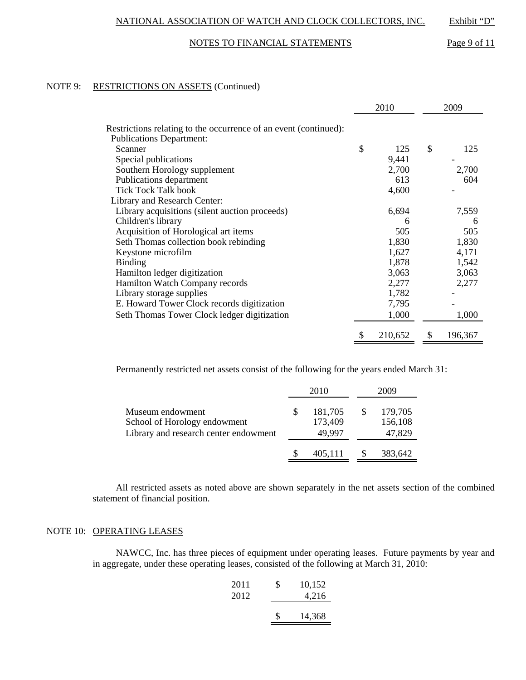## NOTES TO FINANCIAL STATEMENTS Page 9 of 11

## NOTE 9: RESTRICTIONS ON ASSETS (Continued)

|                                                                                                     | 2010 |         | 2009          |
|-----------------------------------------------------------------------------------------------------|------|---------|---------------|
| Restrictions relating to the occurrence of an event (continued):<br><b>Publications Department:</b> |      |         |               |
| Scanner                                                                                             | \$   | 125     | \$<br>125     |
| Special publications                                                                                |      | 9,441   |               |
| Southern Horology supplement                                                                        |      | 2,700   | 2,700         |
| Publications department                                                                             |      | 613     | 604           |
| <b>Tick Tock Talk book</b>                                                                          |      | 4,600   |               |
| Library and Research Center:                                                                        |      |         |               |
| Library acquisitions (silent auction proceeds)                                                      |      | 6,694   | 7,559         |
| Children's library                                                                                  |      | 6       | h             |
| Acquisition of Horological art items                                                                |      | 505     | 505           |
| Seth Thomas collection book rebinding                                                               |      | 1,830   | 1,830         |
| Keystone microfilm                                                                                  |      | 1,627   | 4,171         |
| <b>Binding</b>                                                                                      |      | 1,878   | 1,542         |
| Hamilton ledger digitization                                                                        |      | 3,063   | 3,063         |
| Hamilton Watch Company records                                                                      |      | 2,277   | 2,277         |
| Library storage supplies                                                                            |      | 1,782   |               |
| E. Howard Tower Clock records digitization                                                          |      | 7,795   |               |
| Seth Thomas Tower Clock ledger digitization                                                         |      | 1,000   | 1,000         |
|                                                                                                     | \$   | 210,652 | \$<br>196,367 |

Permanently restricted net assets consist of the following for the years ended March 31:

|                                                                                           | 2010                         | 2009     |                              |  |  |
|-------------------------------------------------------------------------------------------|------------------------------|----------|------------------------------|--|--|
| Museum endowment<br>School of Horology endowment<br>Library and research center endowment | 181,705<br>173,409<br>49.997 | <b>S</b> | 179,705<br>156,108<br>47,829 |  |  |
|                                                                                           | 405,111                      |          | 383,642                      |  |  |

 All restricted assets as noted above are shown separately in the net assets section of the combined statement of financial position.

# NOTE 10: OPERATING LEASES

 NAWCC, Inc. has three pieces of equipment under operating leases. Future payments by year and in aggregate, under these operating leases, consisted of the following at March 31, 2010:

| 2011<br>2012 | \$<br>10,152<br>4,216 |
|--------------|-----------------------|
|              | \$<br>14,368          |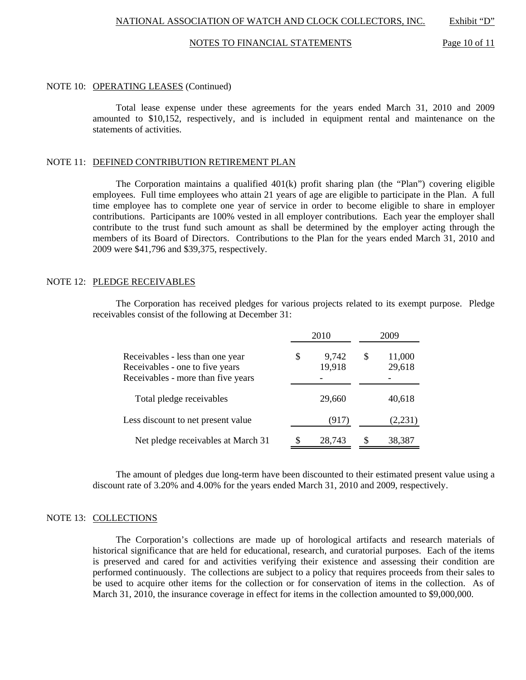#### NOTES TO FINANCIAL STATEMENTS Page 10 of 11

#### NOTE 10: OPERATING LEASES (Continued)

 Total lease expense under these agreements for the years ended March 31, 2010 and 2009 amounted to \$10,152, respectively, and is included in equipment rental and maintenance on the statements of activities.

## NOTE 11: DEFINED CONTRIBUTION RETIREMENT PLAN

 The Corporation maintains a qualified 401(k) profit sharing plan (the "Plan") covering eligible employees. Full time employees who attain 21 years of age are eligible to participate in the Plan. A full time employee has to complete one year of service in order to become eligible to share in employer contributions. Participants are 100% vested in all employer contributions. Each year the employer shall contribute to the trust fund such amount as shall be determined by the employer acting through the members of its Board of Directors. Contributions to the Plan for the years ended March 31, 2010 and 2009 were \$41,796 and \$39,375, respectively.

## NOTE 12: PLEDGE RECEIVABLES

 The Corporation has received pledges for various projects related to its exempt purpose. Pledge receivables consist of the following at December 31:

|                                                                                                           | 2010                  | 2009 |                  |  |  |
|-----------------------------------------------------------------------------------------------------------|-----------------------|------|------------------|--|--|
| Receivables - less than one year<br>Receivables - one to five years<br>Receivables - more than five years | \$<br>9,742<br>19,918 | S    | 11,000<br>29,618 |  |  |
| Total pledge receivables                                                                                  | 29,660                |      | 40,618           |  |  |
| Less discount to net present value                                                                        | (917)                 |      | (2,231)          |  |  |
| Net pledge receivables at March 31                                                                        | \$<br>28,743          | \$.  | 38,387           |  |  |

 The amount of pledges due long-term have been discounted to their estimated present value using a discount rate of 3.20% and 4.00% for the years ended March 31, 2010 and 2009, respectively.

### NOTE 13: COLLECTIONS

 The Corporation's collections are made up of horological artifacts and research materials of historical significance that are held for educational, research, and curatorial purposes. Each of the items is preserved and cared for and activities verifying their existence and assessing their condition are performed continuously. The collections are subject to a policy that requires proceeds from their sales to be used to acquire other items for the collection or for conservation of items in the collection. As of March 31, 2010, the insurance coverage in effect for items in the collection amounted to \$9,000,000.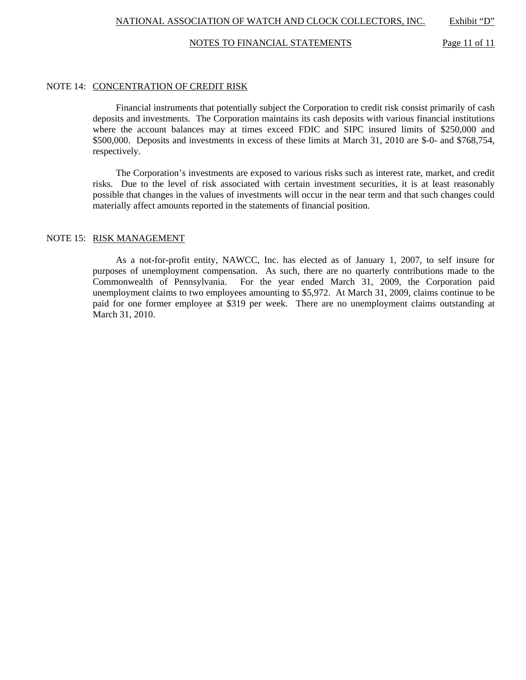## NOTES TO FINANCIAL STATEMENTS Page 11 of 11

### NOTE 14: CONCENTRATION OF CREDIT RISK

 Financial instruments that potentially subject the Corporation to credit risk consist primarily of cash deposits and investments. The Corporation maintains its cash deposits with various financial institutions where the account balances may at times exceed FDIC and SIPC insured limits of \$250,000 and \$500,000. Deposits and investments in excess of these limits at March 31, 2010 are \$-0- and \$768,754, respectively.

 The Corporation's investments are exposed to various risks such as interest rate, market, and credit risks. Due to the level of risk associated with certain investment securities, it is at least reasonably possible that changes in the values of investments will occur in the near term and that such changes could materially affect amounts reported in the statements of financial position.

## NOTE 15: RISK MANAGEMENT

 As a not-for-profit entity, NAWCC, Inc. has elected as of January 1, 2007, to self insure for purposes of unemployment compensation. As such, there are no quarterly contributions made to the Commonwealth of Pennsylvania. For the year ended March 31, 2009, the Corporation paid unemployment claims to two employees amounting to \$5,972. At March 31, 2009, claims continue to be paid for one former employee at \$319 per week. There are no unemployment claims outstanding at March 31, 2010.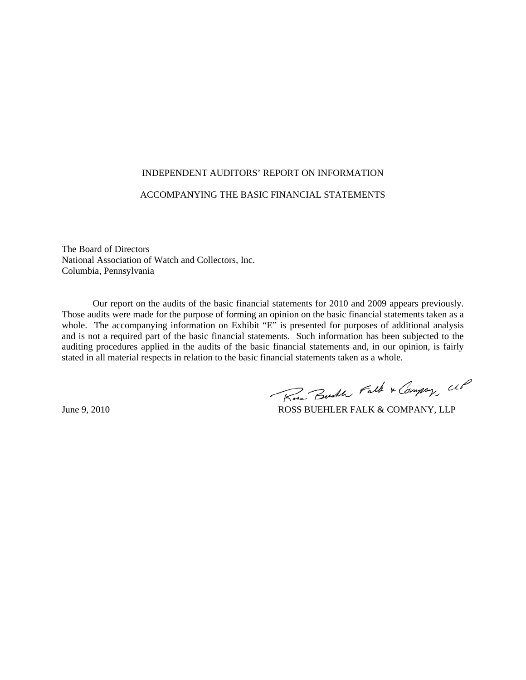### INDEPENDENT AUDITORS' REPORT ON INFORMATION

# ACCOMPANYING THE BASIC FINANCIAL STATEMENTS

The Board of Directors National Association of Watch and Collectors, Inc. Columbia, Pennsylvania

 Our report on the audits of the basic financial statements for 2010 and 2009 appears previously. Those audits were made for the purpose of forming an opinion on the basic financial statements taken as a whole. The accompanying information on Exhibit "E" is presented for purposes of additional analysis and is not a required part of the basic financial statements. Such information has been subjected to the auditing procedures applied in the audits of the basic financial statements and, in our opinion, is fairly stated in all material respects in relation to the basic financial statements taken as a whole.

Rose Busher Falk & Company, UP

June 9, 2010 ROSS BUEHLER FALK & COMPANY, LLP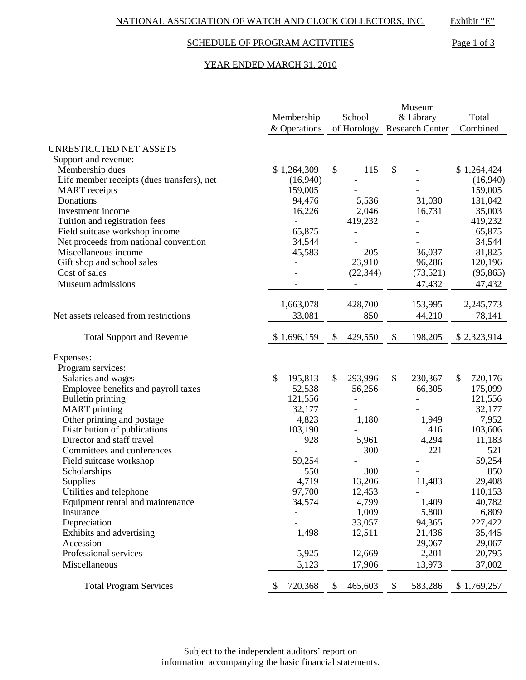# SCHEDULE OF PROGRAM ACTIVITIES Page 1 of 3

## YEAR ENDED MARCH 31, 2010

|                                            |               | Museum                           |                          |               |  |
|--------------------------------------------|---------------|----------------------------------|--------------------------|---------------|--|
|                                            | Membership    | School                           | & Library                | Total         |  |
|                                            | & Operations  | of Horology                      | <b>Research Center</b>   | Combined      |  |
| <b>UNRESTRICTED NET ASSETS</b>             |               |                                  |                          |               |  |
| Support and revenue:                       |               |                                  |                          |               |  |
| Membership dues                            | \$1,264,309   | $\boldsymbol{\mathsf{S}}$<br>115 | \$                       | \$1,264,424   |  |
| Life member receipts (dues transfers), net | (16,940)      |                                  |                          | (16,940)      |  |
| <b>MART</b> receipts                       | 159,005       |                                  |                          | 159,005       |  |
| Donations                                  | 94,476        | 5,536                            | 31,030                   | 131,042       |  |
| Investment income                          | 16,226        | 2,046                            | 16,731                   | 35,003        |  |
| Tuition and registration fees              |               | 419,232                          |                          | 419,232       |  |
| Field suitcase workshop income             | 65,875        |                                  |                          | 65,875        |  |
| Net proceeds from national convention      | 34,544        |                                  |                          | 34,544        |  |
| Miscellaneous income                       | 45,583        | 205                              | 36,037                   | 81,825        |  |
| Gift shop and school sales                 |               | 23,910                           | 96,286                   | 120,196       |  |
| Cost of sales                              |               | (22, 344)                        | (73,521)                 | (95, 865)     |  |
| Museum admissions                          |               |                                  | 47,432                   | 47,432        |  |
|                                            |               |                                  |                          |               |  |
|                                            | 1,663,078     | 428,700                          | 153,995                  | 2,245,773     |  |
| Net assets released from restrictions      | 33,081        | 850                              | 44,210                   | 78,141        |  |
|                                            |               |                                  |                          |               |  |
| <b>Total Support and Revenue</b>           | \$1,696,159   | 429,550<br>\$                    | 198,205<br>$\mathcal{L}$ | \$2,323,914   |  |
| Expenses:                                  |               |                                  |                          |               |  |
| Program services:                          |               |                                  |                          |               |  |
| Salaries and wages                         | 195,813<br>\$ | \$<br>293,996                    | \$<br>230,367            | \$<br>720,176 |  |
| Employee benefits and payroll taxes        | 52,538        | 56,256                           | 66,305                   | 175,099       |  |
| <b>Bulletin printing</b>                   | 121,556       |                                  |                          | 121,556       |  |
| <b>MART</b> printing                       | 32,177        |                                  |                          | 32,177        |  |
| Other printing and postage                 | 4,823         | 1,180                            | 1,949                    | 7,952         |  |
| Distribution of publications               | 103,190       |                                  | 416                      | 103,606       |  |
| Director and staff travel                  | 928           | 5,961                            | 4,294                    | 11,183        |  |
| Committees and conferences                 |               | 300                              | 221                      | 521           |  |
| Field suitcase workshop                    | 59,254        |                                  |                          | 59,254        |  |
| Scholarships                               | 550           | 300                              |                          | 850           |  |
| Supplies                                   | 4,719         | 13,206                           | 11,483                   | 29,408        |  |
| Utilities and telephone                    | 97,700        | 12,453                           | $\overline{\phantom{a}}$ | 110,153       |  |
| Equipment rental and maintenance           | 34,574        | 4,799                            | 1,409                    | 40,782        |  |
| Insurance                                  |               | 1,009                            | 5,800                    | 6,809         |  |
| Depreciation                               |               | 33,057                           | 194,365                  | 227,422       |  |
| Exhibits and advertising                   | 1,498         | 12,511                           | 21,436                   | 35,445        |  |
| Accession                                  |               | $\qquad \qquad -$                | 29,067                   | 29,067        |  |
| Professional services                      | 5,925         | 12,669                           | 2,201                    | 20,795        |  |
| Miscellaneous                              | 5,123         | 17,906                           | 13,973                   | 37,002        |  |
|                                            |               |                                  |                          |               |  |
| <b>Total Program Services</b>              | 720,368<br>\$ | 465,603<br>\$                    | \$<br>583,286            | \$1,769,257   |  |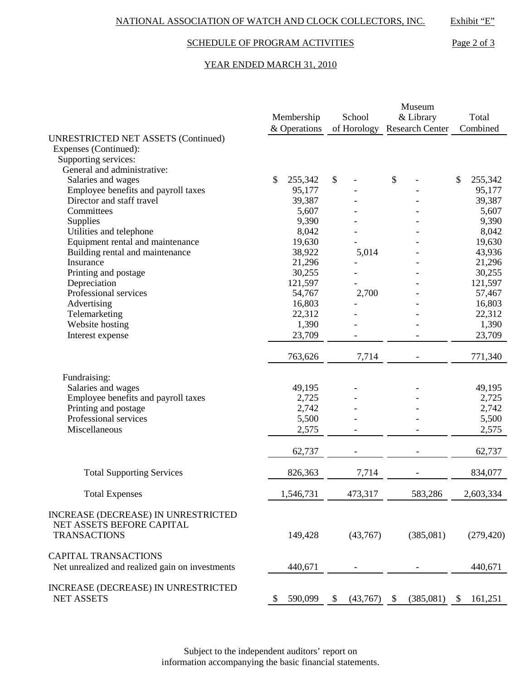# SCHEDULE OF PROGRAM ACTIVITIES Page 2 of 3

## YEAR ENDED MARCH 31, 2010

|                                                                                         | Membership<br>& Operations | School<br>of Horology | Museum<br>& Library<br><b>Research Center</b> |           | Total<br>Combined |
|-----------------------------------------------------------------------------------------|----------------------------|-----------------------|-----------------------------------------------|-----------|-------------------|
| <b>UNRESTRICTED NET ASSETS (Continued)</b>                                              |                            |                       |                                               |           |                   |
| Expenses (Continued):                                                                   |                            |                       |                                               |           |                   |
| Supporting services:                                                                    |                            |                       |                                               |           |                   |
| General and administrative:                                                             |                            |                       |                                               |           |                   |
| Salaries and wages                                                                      | \$<br>255,342              | \$                    | \$                                            |           | \$<br>255,342     |
| Employee benefits and payroll taxes                                                     | 95,177                     |                       |                                               |           | 95,177            |
| Director and staff travel                                                               | 39,387                     |                       |                                               |           | 39,387            |
| Committees                                                                              | 5,607                      |                       |                                               |           | 5,607             |
| Supplies                                                                                | 9,390                      |                       |                                               |           | 9,390             |
| Utilities and telephone                                                                 | 8,042                      |                       |                                               |           | 8,042             |
| Equipment rental and maintenance                                                        | 19,630                     |                       |                                               |           | 19,630            |
| Building rental and maintenance                                                         | 38,922                     | 5,014                 |                                               |           | 43,936            |
| Insurance                                                                               | 21,296                     |                       |                                               |           | 21,296            |
| Printing and postage                                                                    | 30,255                     |                       |                                               |           | 30,255            |
| Depreciation                                                                            | 121,597                    |                       |                                               |           | 121,597           |
| Professional services                                                                   | 54,767                     | 2,700                 |                                               |           | 57,467            |
| Advertising                                                                             | 16,803                     |                       |                                               |           | 16,803            |
| Telemarketing                                                                           | 22,312                     |                       |                                               |           | 22,312            |
| Website hosting                                                                         | 1,390                      |                       |                                               |           | 1,390             |
| Interest expense                                                                        | 23,709                     |                       |                                               |           | 23,709            |
|                                                                                         |                            |                       |                                               |           |                   |
|                                                                                         | 763,626                    | 7,714                 |                                               |           | 771,340           |
| Fundraising:                                                                            |                            |                       |                                               |           |                   |
| Salaries and wages                                                                      | 49,195                     |                       |                                               |           | 49,195            |
| Employee benefits and payroll taxes                                                     | 2,725                      |                       |                                               |           | 2,725             |
| Printing and postage                                                                    | 2,742                      |                       |                                               |           | 2,742             |
| Professional services                                                                   | 5,500                      |                       |                                               |           | 5,500             |
| Miscellaneous                                                                           | 2,575                      |                       |                                               |           | 2,575             |
|                                                                                         |                            |                       |                                               |           |                   |
|                                                                                         | 62,737                     |                       |                                               |           | 62,737            |
| <b>Total Supporting Services</b>                                                        | 826,363                    | 7,714                 |                                               |           | 834,077           |
| <b>Total Expenses</b>                                                                   | 1,546,731                  | 473,317               |                                               | 583,286   | 2,603,334         |
| INCREASE (DECREASE) IN UNRESTRICTED<br>NET ASSETS BEFORE CAPITAL<br><b>TRANSACTIONS</b> | 149,428                    | (43,767)              |                                               | (385,081) | (279, 420)        |
|                                                                                         |                            |                       |                                               |           |                   |
| <b>CAPITAL TRANSACTIONS</b><br>Net unrealized and realized gain on investments          | 440,671                    |                       |                                               |           | 440,671           |
| INCREASE (DECREASE) IN UNRESTRICTED<br><b>NET ASSETS</b>                                | \$<br>590,099              | \$<br>(43,767)        | \$                                            | (385,081) | \$<br>161,251     |